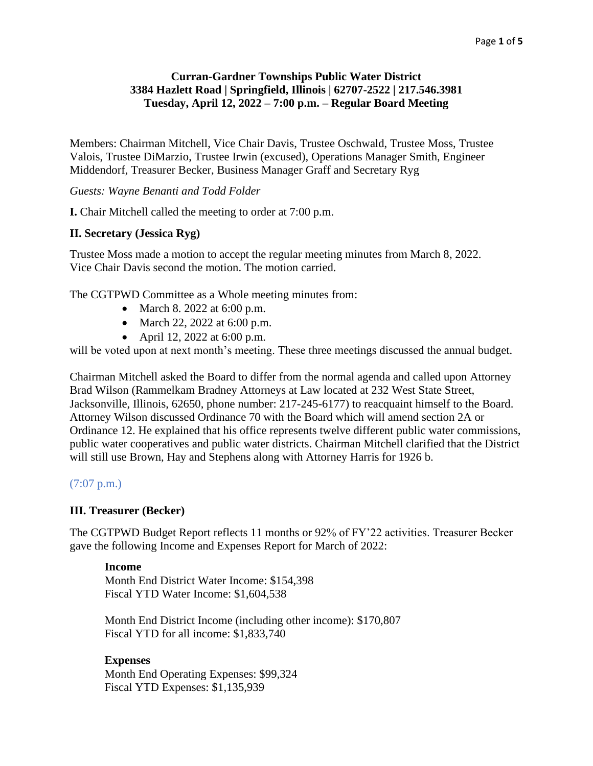# **Curran-Gardner Townships Public Water District 3384 Hazlett Road | Springfield, Illinois | 62707-2522 | 217.546.3981 Tuesday, April 12, 2022 – 7:00 p.m. – Regular Board Meeting**

Members: Chairman Mitchell, Vice Chair Davis, Trustee Oschwald, Trustee Moss, Trustee Valois, Trustee DiMarzio, Trustee Irwin (excused), Operations Manager Smith, Engineer Middendorf, Treasurer Becker, Business Manager Graff and Secretary Ryg

*Guests: Wayne Benanti and Todd Folder*

**I.** Chair Mitchell called the meeting to order at 7:00 p.m.

### **II. Secretary (Jessica Ryg)**

Trustee Moss made a motion to accept the regular meeting minutes from March 8, 2022. Vice Chair Davis second the motion. The motion carried.

The CGTPWD Committee as a Whole meeting minutes from:

- March 8. 2022 at 6:00 p.m.
- March 22, 2022 at 6:00 p.m.
- April 12, 2022 at 6:00 p.m.

will be voted upon at next month's meeting. These three meetings discussed the annual budget.

Chairman Mitchell asked the Board to differ from the normal agenda and called upon Attorney Brad Wilson (Rammelkam Bradney Attorneys at Law located at 232 West State Street, Jacksonville, Illinois, 62650, phone number: 217-245-6177) to reacquaint himself to the Board. Attorney Wilson discussed Ordinance 70 with the Board which will amend section 2A or Ordinance 12. He explained that his office represents twelve different public water commissions, public water cooperatives and public water districts. Chairman Mitchell clarified that the District will still use Brown, Hay and Stephens along with Attorney Harris for 1926 b.

### (7:07 p.m.)

#### **III. Treasurer (Becker)**

The CGTPWD Budget Report reflects 11 months or 92% of FY'22 activities. Treasurer Becker gave the following Income and Expenses Report for March of 2022:

#### **Income**

Month End District Water Income: \$154,398 Fiscal YTD Water Income: \$1,604,538

Month End District Income (including other income): \$170,807 Fiscal YTD for all income: \$1,833,740

#### **Expenses**

Month End Operating Expenses: \$99,324 Fiscal YTD Expenses: \$1,135,939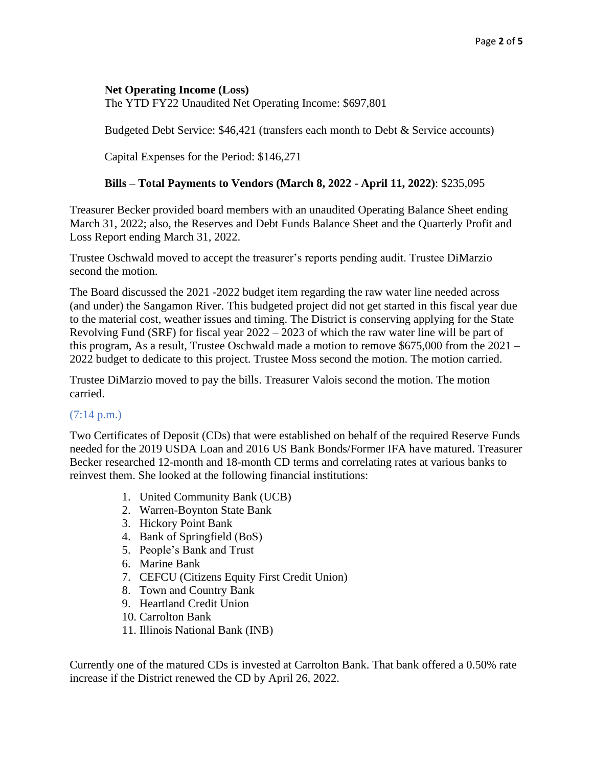## **Net Operating Income (Loss)**

The YTD FY22 Unaudited Net Operating Income: \$697,801

Budgeted Debt Service: \$46,421 (transfers each month to Debt & Service accounts)

Capital Expenses for the Period: \$146,271

## **Bills – Total Payments to Vendors (March 8, 2022 - April 11, 2022)**: \$235,095

Treasurer Becker provided board members with an unaudited Operating Balance Sheet ending March 31, 2022; also, the Reserves and Debt Funds Balance Sheet and the Quarterly Profit and Loss Report ending March 31, 2022.

Trustee Oschwald moved to accept the treasurer's reports pending audit. Trustee DiMarzio second the motion.

The Board discussed the 2021 -2022 budget item regarding the raw water line needed across (and under) the Sangamon River. This budgeted project did not get started in this fiscal year due to the material cost, weather issues and timing. The District is conserving applying for the State Revolving Fund (SRF) for fiscal year 2022 – 2023 of which the raw water line will be part of this program, As a result, Trustee Oschwald made a motion to remove \$675,000 from the 2021 – 2022 budget to dedicate to this project. Trustee Moss second the motion. The motion carried.

Trustee DiMarzio moved to pay the bills. Treasurer Valois second the motion. The motion carried.

# (7:14 p.m.)

Two Certificates of Deposit (CDs) that were established on behalf of the required Reserve Funds needed for the 2019 USDA Loan and 2016 US Bank Bonds/Former IFA have matured. Treasurer Becker researched 12-month and 18-month CD terms and correlating rates at various banks to reinvest them. She looked at the following financial institutions:

- 1. United Community Bank (UCB)
- 2. Warren-Boynton State Bank
- 3. Hickory Point Bank
- 4. Bank of Springfield (BoS)
- 5. People's Bank and Trust
- 6. Marine Bank
- 7. CEFCU (Citizens Equity First Credit Union)
- 8. Town and Country Bank
- 9. Heartland Credit Union
- 10. Carrolton Bank
- 11. Illinois National Bank (INB)

Currently one of the matured CDs is invested at Carrolton Bank. That bank offered a 0.50% rate increase if the District renewed the CD by April 26, 2022.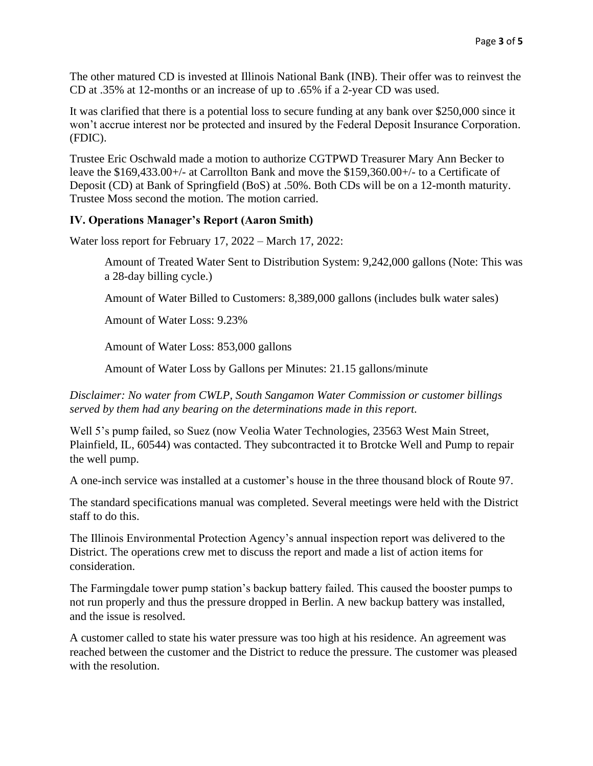The other matured CD is invested at Illinois National Bank (INB). Their offer was to reinvest the CD at .35% at 12-months or an increase of up to .65% if a 2-year CD was used.

It was clarified that there is a potential loss to secure funding at any bank over \$250,000 since it won't accrue interest nor be protected and insured by the Federal Deposit Insurance Corporation. (FDIC).

Trustee Eric Oschwald made a motion to authorize CGTPWD Treasurer Mary Ann Becker to leave the \$169,433.00+/- at Carrollton Bank and move the \$159,360.00+/- to a Certificate of Deposit (CD) at Bank of Springfield (BoS) at .50%. Both CDs will be on a 12-month maturity. Trustee Moss second the motion. The motion carried.

## **IV. Operations Manager's Report (Aaron Smith)**

Water loss report for February 17, 2022 – March 17, 2022:

Amount of Treated Water Sent to Distribution System: 9,242,000 gallons (Note: This was a 28-day billing cycle.)

Amount of Water Billed to Customers: 8,389,000 gallons (includes bulk water sales)

Amount of Water Loss: 9.23%

Amount of Water Loss: 853,000 gallons

Amount of Water Loss by Gallons per Minutes: 21.15 gallons/minute

*Disclaimer: No water from CWLP, South Sangamon Water Commission or customer billings served by them had any bearing on the determinations made in this report.*

Well 5's pump failed, so Suez (now Veolia Water Technologies, 23563 West Main Street, Plainfield, IL, 60544) was contacted. They subcontracted it to Brotcke Well and Pump to repair the well pump.

A one-inch service was installed at a customer's house in the three thousand block of Route 97.

The standard specifications manual was completed. Several meetings were held with the District staff to do this.

The Illinois Environmental Protection Agency's annual inspection report was delivered to the District. The operations crew met to discuss the report and made a list of action items for consideration.

The Farmingdale tower pump station's backup battery failed. This caused the booster pumps to not run properly and thus the pressure dropped in Berlin. A new backup battery was installed, and the issue is resolved.

A customer called to state his water pressure was too high at his residence. An agreement was reached between the customer and the District to reduce the pressure. The customer was pleased with the resolution.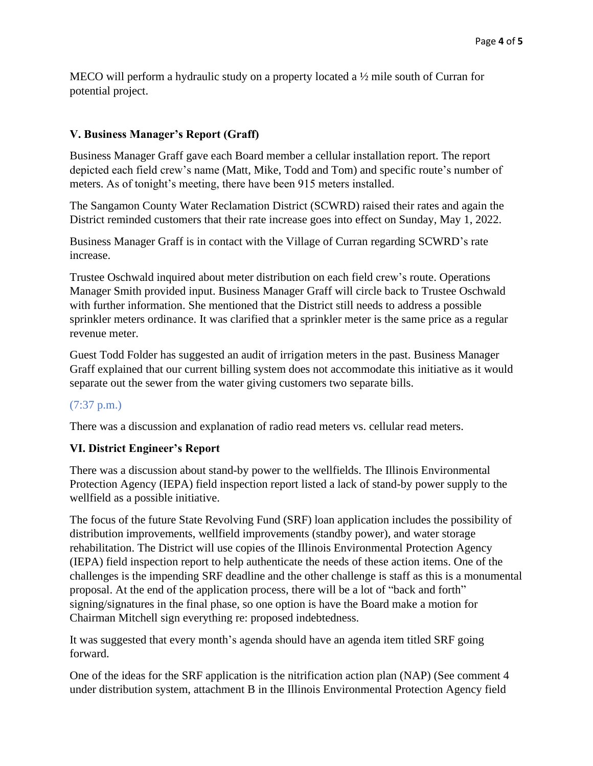MECO will perform a hydraulic study on a property located a ½ mile south of Curran for potential project.

# **V. Business Manager's Report (Graff)**

Business Manager Graff gave each Board member a cellular installation report. The report depicted each field crew's name (Matt, Mike, Todd and Tom) and specific route's number of meters. As of tonight's meeting, there have been 915 meters installed.

The Sangamon County Water Reclamation District (SCWRD) raised their rates and again the District reminded customers that their rate increase goes into effect on Sunday, May 1, 2022.

Business Manager Graff is in contact with the Village of Curran regarding SCWRD's rate increase.

Trustee Oschwald inquired about meter distribution on each field crew's route. Operations Manager Smith provided input. Business Manager Graff will circle back to Trustee Oschwald with further information. She mentioned that the District still needs to address a possible sprinkler meters ordinance. It was clarified that a sprinkler meter is the same price as a regular revenue meter.

Guest Todd Folder has suggested an audit of irrigation meters in the past. Business Manager Graff explained that our current billing system does not accommodate this initiative as it would separate out the sewer from the water giving customers two separate bills.

# (7:37 p.m.)

There was a discussion and explanation of radio read meters vs. cellular read meters.

# **VI. District Engineer's Report**

There was a discussion about stand-by power to the wellfields. The Illinois Environmental Protection Agency (IEPA) field inspection report listed a lack of stand-by power supply to the wellfield as a possible initiative.

The focus of the future State Revolving Fund (SRF) loan application includes the possibility of distribution improvements, wellfield improvements (standby power), and water storage rehabilitation. The District will use copies of the Illinois Environmental Protection Agency (IEPA) field inspection report to help authenticate the needs of these action items. One of the challenges is the impending SRF deadline and the other challenge is staff as this is a monumental proposal. At the end of the application process, there will be a lot of "back and forth" signing/signatures in the final phase, so one option is have the Board make a motion for Chairman Mitchell sign everything re: proposed indebtedness.

It was suggested that every month's agenda should have an agenda item titled SRF going forward.

One of the ideas for the SRF application is the nitrification action plan (NAP) (See comment 4 under distribution system, attachment B in the Illinois Environmental Protection Agency field